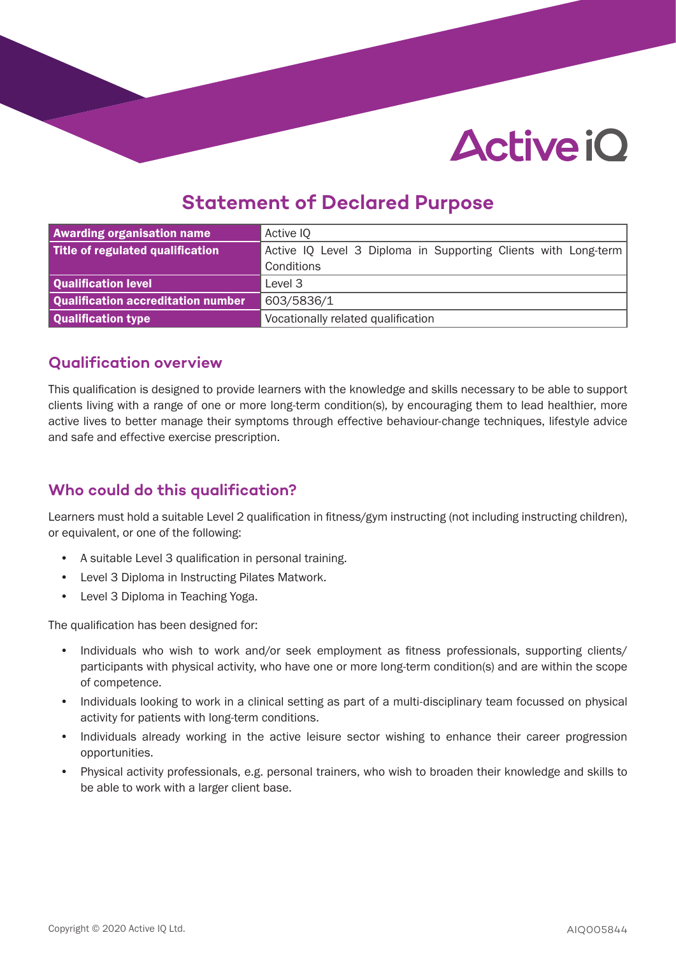# **Active iO**

### **Statement of Declared Purpose**

| <b>Awarding organisation name</b>  | Active IQ                                                      |  |  |
|------------------------------------|----------------------------------------------------------------|--|--|
| Title of regulated qualification   | Active IQ Level 3 Diploma in Supporting Clients with Long-term |  |  |
|                                    | Conditions                                                     |  |  |
| Qualification level                | Level 3                                                        |  |  |
| Qualification accreditation number | 603/5836/1                                                     |  |  |
| Qualification type                 | Vocationally related qualification                             |  |  |

#### **Qualification overview**

This qualification is designed to provide learners with the knowledge and skills necessary to be able to support clients living with a range of one or more long-term condition(s), by encouraging them to lead healthier, more active lives to better manage their symptoms through effective behaviour-change techniques, lifestyle advice and safe and effective exercise prescription.

#### **Who could do this qualification?**

Learners must hold a suitable Level 2 qualification in fitness/gym instructing (not including instructing children), or equivalent, or one of the following:

- A suitable Level 3 qualification in personal training.
- Level 3 Diploma in Instructing Pilates Matwork.
- Level 3 Diploma in Teaching Yoga.

The qualification has been designed for:

- Individuals who wish to work and/or seek employment as fitness professionals, supporting clients/ participants with physical activity, who have one or more long-term condition(s) and are within the scope of competence.
- Individuals looking to work in a clinical setting as part of a multi-disciplinary team focussed on physical activity for patients with long-term conditions.
- Individuals already working in the active leisure sector wishing to enhance their career progression opportunities.
- Physical activity professionals, e.g. personal trainers, who wish to broaden their knowledge and skills to be able to work with a larger client base.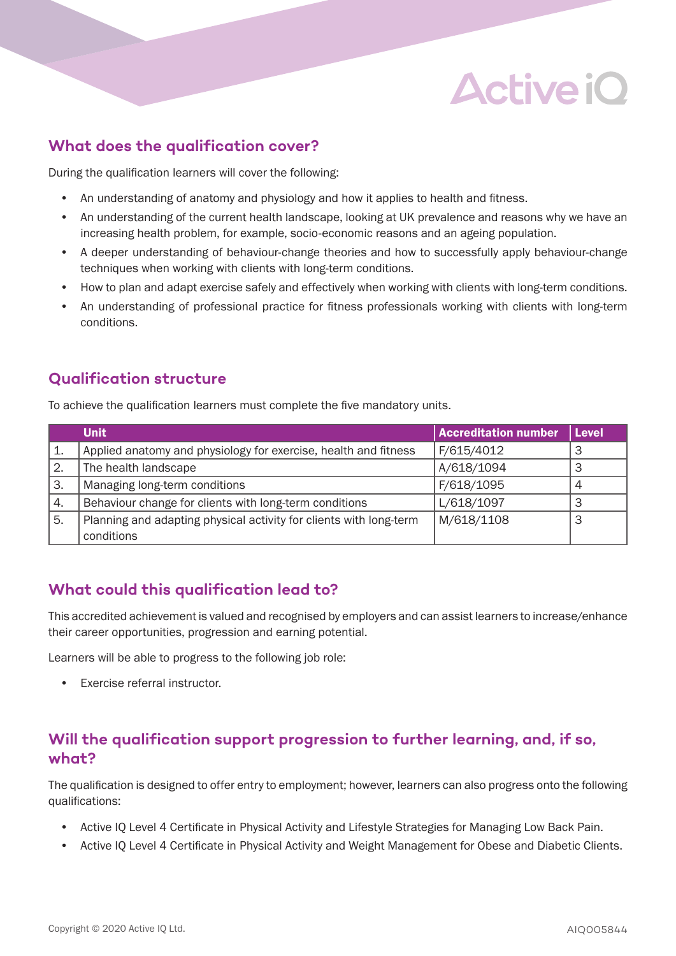## **Active iO**

#### **What does the qualification cover?**

During the qualification learners will cover the following:

- An understanding of anatomy and physiology and how it applies to health and fitness.
- An understanding of the current health landscape, looking at UK prevalence and reasons why we have an increasing health problem, for example, socio-economic reasons and an ageing population.
- A deeper understanding of behaviour-change theories and how to successfully apply behaviour-change techniques when working with clients with long-term conditions.
- How to plan and adapt exercise safely and effectively when working with clients with long-term conditions.
- An understanding of professional practice for fitness professionals working with clients with long-term conditions.

#### **Qualification structure**

To achieve the qualification learners must complete the five mandatory units.

|    | <b>Unit</b>                                                        | <b>Accreditation number</b> | <b>Level</b> |
|----|--------------------------------------------------------------------|-----------------------------|--------------|
| 1. | Applied anatomy and physiology for exercise, health and fitness    | F/615/4012                  | З            |
| 2. | The health landscape                                               | A/618/1094                  | З            |
| 3. | Managing long-term conditions                                      | F/618/1095                  | 4            |
| 4. | Behaviour change for clients with long-term conditions             | L/618/1097                  | З            |
| 5. | Planning and adapting physical activity for clients with long-term | M/618/1108                  | З            |
|    | conditions                                                         |                             |              |

#### **What could this qualification lead to?**

This accredited achievement is valued and recognised by employers and can assist learners to increase/enhance their career opportunities, progression and earning potential.

Learners will be able to progress to the following job role:

• Exercise referral instructor.

#### **Will the qualification support progression to further learning, and, if so, what?**

The qualification is designed to offer entry to employment; however, learners can also progress onto the following qualifications:

- Active IQ Level 4 Certificate in Physical Activity and Lifestyle Strategies for Managing Low Back Pain.
- Active IQ Level 4 Certificate in Physical Activity and Weight Management for Obese and Diabetic Clients.